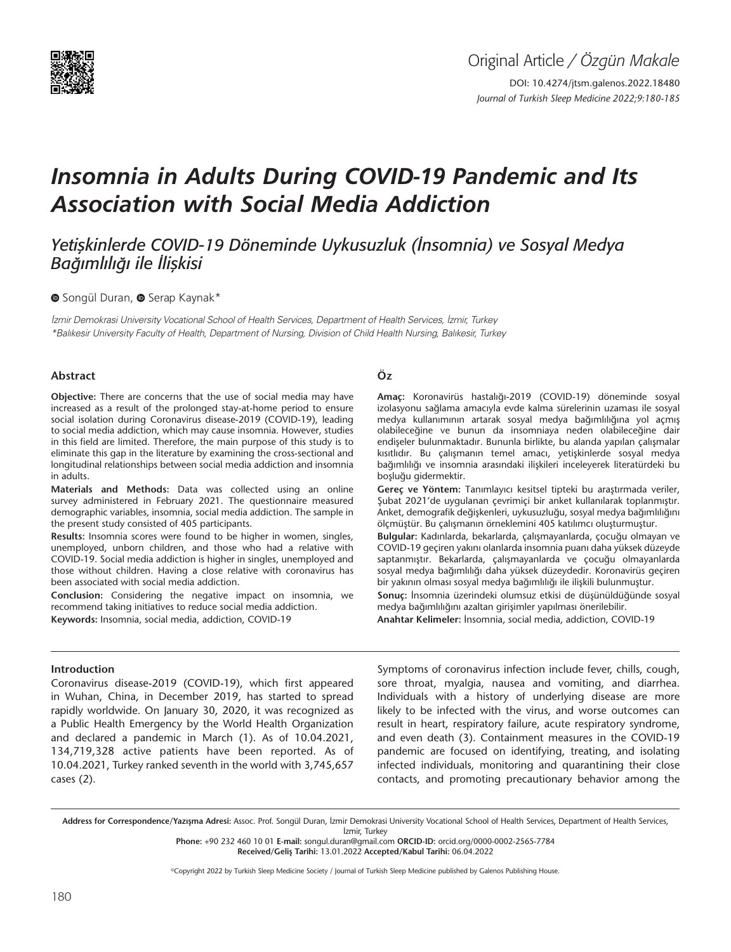

# *Insomnia in Adults During COVID-19 Pandemic and Its Association with Social Media Addiction*

*Yetişkinlerde COVID-19 Döneminde Uykusuzluk (İnsomnia) ve Sosyal Medya Bağımlılığı ile İlişkisi*

#### **O**Songül Duran, <sup>O</sup> Serap Kaynak\*

İzmir Demokrasi University Vocational School of Health Services, Department of Health Services, İzmir, Turkey \*Balıkesir University Faculty of Health, Department of Nursing, Division of Child Health Nursing, Balıkesir, Turkey

#### **Abstract**

**Objective:** There are concerns that the use of social media may have increased as a result of the prolonged stay-at-home period to ensure social isolation during Coronavirus disease-2019 (COVID-19), leading to social media addiction, which may cause insomnia. However, studies in this field are limited. Therefore, the main purpose of this study is to eliminate this gap in the literature by examining the cross-sectional and longitudinal relationships between social media addiction and insomnia in adults.

**Materials and Methods:** Data was collected using an online survey administered in February 2021. The questionnaire measured demographic variables, insomnia, social media addiction. The sample in the present study consisted of 405 participants.

**Results:** Insomnia scores were found to be higher in women, singles, unemployed, unborn children, and those who had a relative with COVID-19. Social media addiction is higher in singles, unemployed and those without children. Having a close relative with coronavirus has been associated with social media addiction.

**Conclusion:** Considering the negative impact on insomnia, we recommend taking initiatives to reduce social media addiction. **Keywords:** Insomnia, social media, addiction, COVID-19

#### **Öz**

**Amaç:** Koronavirüs hastalığı-2019 (COVID-19) döneminde sosyal izolasyonu sağlama amacıyla evde kalma sürelerinin uzaması ile sosyal medya kullanımının artarak sosyal medya bağımlılığına yol açmış olabileceğine ve bunun da insomniaya neden olabileceğine dair endişeler bulunmaktadır. Bununla birlikte, bu alanda yapılan çalışmalar kısıtlıdır. Bu çalışmanın temel amacı, yetişkinlerde sosyal medya bağımlılığı ve insomnia arasındaki ilişkileri inceleyerek literatürdeki bu boşluğu gidermektir.

**Gereç ve Yöntem:** Tanımlayıcı kesitsel tipteki bu araştırmada veriler, Şubat 2021'de uygulanan çevrimiçi bir anket kullanılarak toplanmıştır. Anket, demografik değişkenleri, uykusuzluğu, sosyal medya bağımlılığını ölçmüştür. Bu çalışmanın örneklemini 405 katılımcı oluşturmuştur.

**Bulgular:** Kadınlarda, bekarlarda, çalışmayanlarda, çocuğu olmayan ve COVID-19 geçiren yakını olanlarda insomnia puanı daha yüksek düzeyde saptanmıştır. Bekarlarda, çalışmayanlarda ve çocuğu olmayanlarda sosyal medya bağımlılığı daha yüksek düzeydedir. Koronavirüs geçiren bir yakının olması sosyal medya bağımlılığı ile ilişkili bulunmuştur.

**Sonuç:** İnsomnia üzerindeki olumsuz etkisi de düşünüldüğünde sosyal medya bağımlılığını azaltan girişimler yapılması önerilebilir.

**Anahtar Kelimeler:** İnsomnia, social media, addiction, COVID-19

#### **Introduction**

Coronavirus disease-2019 (COVID-19), which first appeared in Wuhan, China, in December 2019, has started to spread rapidly worldwide. On January 30, 2020, it was recognized as a Public Health Emergency by the World Health Organization and declared a pandemic in March (1). As of 10.04.2021, 134,719,328 active patients have been reported. As of 10.04.2021, Turkey ranked seventh in the world with 3,745,657 cases (2).

Symptoms of coronavirus infection include fever, chills, cough, sore throat, myalgia, nausea and vomiting, and diarrhea. Individuals with a history of underlying disease are more likely to be infected with the virus, and worse outcomes can result in heart, respiratory failure, acute respiratory syndrome, and even death (3). Containment measures in the COVID-19 pandemic are focused on identifying, treating, and isolating infected individuals, monitoring and quarantining their close contacts, and promoting precautionary behavior among the

Address for Correspondence/Yazışma Adresi: Assoc. Prof. Songül Duran, İzmir Demokrasi University Vocational School of Health Services, Department of Health Services, İzmir, Turkey

**Phone:** +90 232 460 10 01 **E-mail:** songul.duran@gmail.com **ORCID-ID:** orcid.org/0000-0002-2565-7784 **Received/Geliş Tarihi:** 13.01.2022 **Accepted/Kabul Tarihi:** 06.04.2022

©Copyright 2022 by Turkish Sleep Medicine Society / Journal of Turkish Sleep Medicine published by Galenos Publishing House.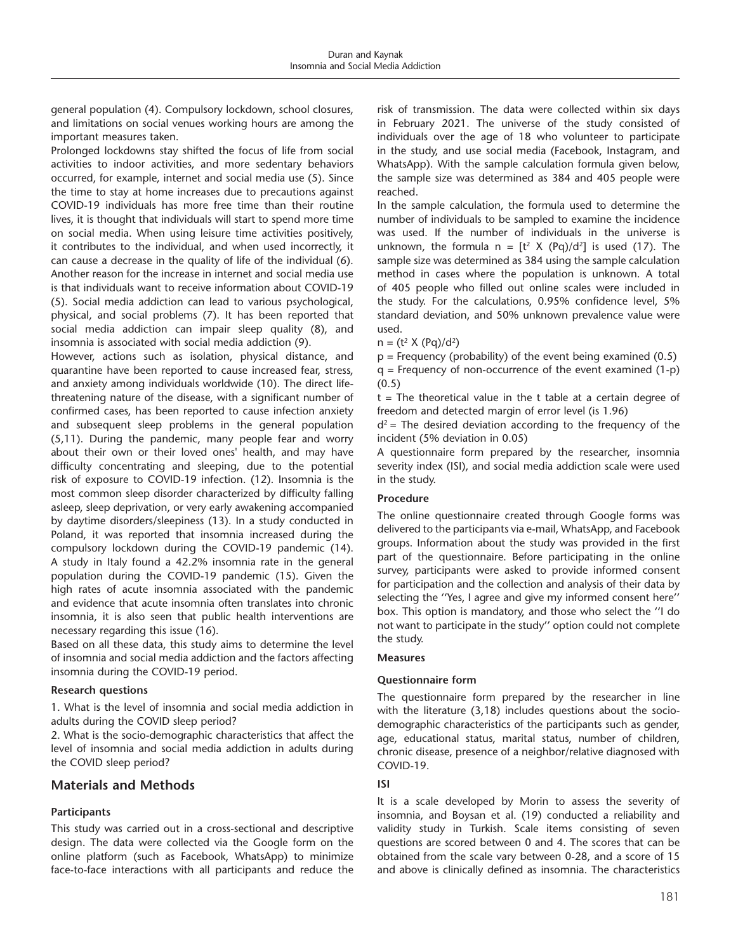general population (4). Compulsory lockdown, school closures, and limitations on social venues working hours are among the important measures taken.

Prolonged lockdowns stay shifted the focus of life from social activities to indoor activities, and more sedentary behaviors occurred, for example, internet and social media use (5). Since the time to stay at home increases due to precautions against COVID-19 individuals has more free time than their routine lives, it is thought that individuals will start to spend more time on social media. When using leisure time activities positively, it contributes to the individual, and when used incorrectly, it can cause a decrease in the quality of life of the individual (6). Another reason for the increase in internet and social media use is that individuals want to receive information about COVID-19 (5). Social media addiction can lead to various psychological, physical, and social problems (7). It has been reported that social media addiction can impair sleep quality (8), and insomnia is associated with social media addiction (9).

However, actions such as isolation, physical distance, and quarantine have been reported to cause increased fear, stress, and anxiety among individuals worldwide (10). The direct lifethreatening nature of the disease, with a significant number of confirmed cases, has been reported to cause infection anxiety and subsequent sleep problems in the general population (5,11). During the pandemic, many people fear and worry about their own or their loved ones' health, and may have difficulty concentrating and sleeping, due to the potential risk of exposure to COVID-19 infection. (12). Insomnia is the most common sleep disorder characterized by difficulty falling asleep, sleep deprivation, or very early awakening accompanied by daytime disorders/sleepiness (13). In a study conducted in Poland, it was reported that insomnia increased during the compulsory lockdown during the COVID-19 pandemic (14). A study in Italy found a 42.2% insomnia rate in the general population during the COVID-19 pandemic (15). Given the high rates of acute insomnia associated with the pandemic and evidence that acute insomnia often translates into chronic insomnia, it is also seen that public health interventions are necessary regarding this issue (16).

Based on all these data, this study aims to determine the level of insomnia and social media addiction and the factors affecting insomnia during the COVID-19 period.

#### **Research questions**

1. What is the level of insomnia and social media addiction in adults during the COVID sleep period?

2. What is the socio-demographic characteristics that affect the level of insomnia and social media addiction in adults during the COVID sleep period?

# **Materials and Methods**

## **Participants**

This study was carried out in a cross-sectional and descriptive design. The data were collected via the Google form on the online platform (such as Facebook, WhatsApp) to minimize face-to-face interactions with all participants and reduce the

risk of transmission. The data were collected within six days in February 2021. The universe of the study consisted of individuals over the age of 18 who volunteer to participate in the study, and use social media (Facebook, Instagram, and WhatsApp). With the sample calculation formula given below, the sample size was determined as 384 and 405 people were reached.

In the sample calculation, the formula used to determine the number of individuals to be sampled to examine the incidence was used. If the number of individuals in the universe is unknown, the formula  $n = [t^2 \times (Pq)/d^2]$  is used (17). The sample size was determined as 384 using the sample calculation method in cases where the population is unknown. A total of 405 people who filled out online scales were included in the study. For the calculations, 0.95% confidence level, 5% standard deviation, and 50% unknown prevalence value were used.

 $n = (t^2 \times (Pq)/d^2)$ 

 $p =$  Frequency (probability) of the event being examined (0.5)  $q$  = Frequency of non-occurrence of the event examined  $(1-p)$ (0.5)

t = The theoretical value in the t table at a certain degree of freedom and detected margin of error level (is 1.96)

 $d^2$  = The desired deviation according to the frequency of the incident (5% deviation in 0.05)

A questionnaire form prepared by the researcher, insomnia severity index (ISI), and social media addiction scale were used in the study.

## **Procedure**

The online questionnaire created through Google forms was delivered to the participants via e-mail, WhatsApp, and Facebook groups. Information about the study was provided in the first part of the questionnaire. Before participating in the online survey, participants were asked to provide informed consent for participation and the collection and analysis of their data by selecting the ''Yes, I agree and give my informed consent here'' box. This option is mandatory, and those who select the ''I do not want to participate in the study'' option could not complete the study.

#### **Measures**

## **Questionnaire form**

The questionnaire form prepared by the researcher in line with the literature (3,18) includes questions about the sociodemographic characteristics of the participants such as gender, age, educational status, marital status, number of children, chronic disease, presence of a neighbor/relative diagnosed with COVID-19.

## **ISI**

It is a scale developed by Morin to assess the severity of insomnia, and Boysan et al. (19) conducted a reliability and validity study in Turkish. Scale items consisting of seven questions are scored between 0 and 4. The scores that can be obtained from the scale vary between 0-28, and a score of 15 and above is clinically defined as insomnia. The characteristics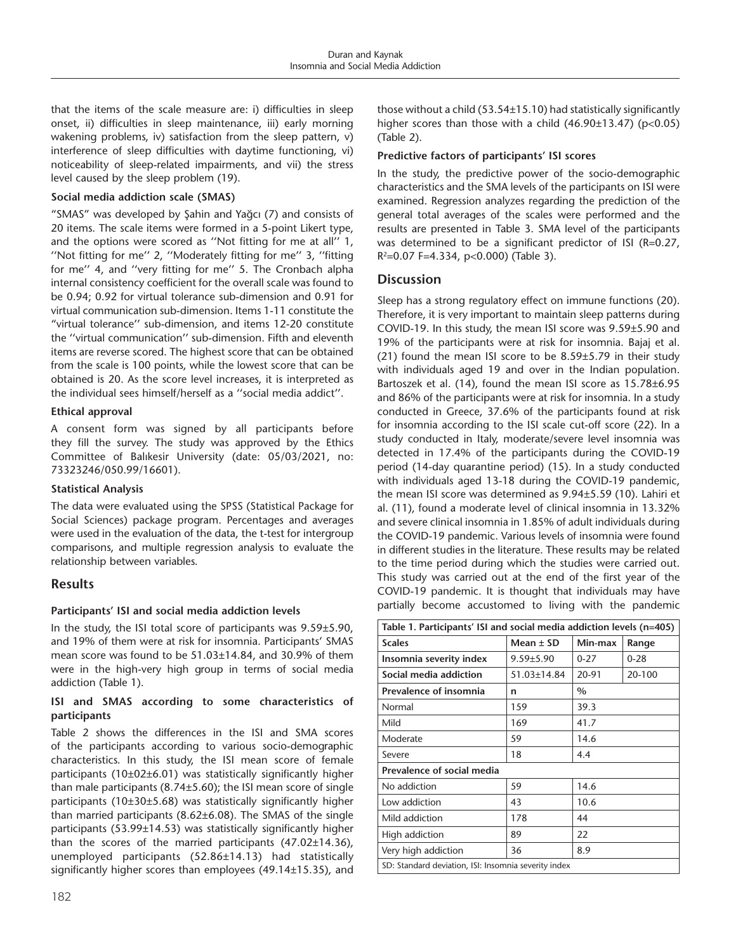that the items of the scale measure are: i) difficulties in sleep onset, ii) difficulties in sleep maintenance, iii) early morning wakening problems, iv) satisfaction from the sleep pattern, v) interference of sleep difficulties with daytime functioning, vi) noticeability of sleep-related impairments, and vii) the stress level caused by the sleep problem (19).

## **Social media addiction scale (SMAS)**

"SMAS" was developed by Şahin and Yağcı (7) and consists of 20 items. The scale items were formed in a 5-point Likert type, and the options were scored as ''Not fitting for me at all'' 1, ''Not fitting for me'' 2, ''Moderately fitting for me'' 3, ''fitting for me'' 4, and ''very fitting for me'' 5. The Cronbach alpha internal consistency coefficient for the overall scale was found to be 0.94; 0.92 for virtual tolerance sub-dimension and 0.91 for virtual communication sub-dimension. Items 1-11 constitute the "virtual tolerance'' sub-dimension, and items 12-20 constitute the ''virtual communication'' sub-dimension. Fifth and eleventh items are reverse scored. The highest score that can be obtained from the scale is 100 points, while the lowest score that can be obtained is 20. As the score level increases, it is interpreted as the individual sees himself/herself as a ''social media addict''.

#### **Ethical approval**

A consent form was signed by all participants before they fill the survey. The study was approved by the Ethics Committee of Balıkesir University (date: 05/03/2021, no: 73323246/050.99/16601).

## **Statistical Analysis**

The data were evaluated using the SPSS (Statistical Package for Social Sciences) package program. Percentages and averages were used in the evaluation of the data, the t-test for intergroup comparisons, and multiple regression analysis to evaluate the relationship between variables.

# **Results**

## **Participants' ISI and social media addiction levels**

In the study, the ISI total score of participants was 9.59±5.90, and 19% of them were at risk for insomnia. Participants' SMAS mean score was found to be 51.03±14.84, and 30.9% of them were in the high-very high group in terms of social media addiction (Table 1).

### **ISI and SMAS according to some characteristics of participants**

Table 2 shows the differences in the ISI and SMA scores of the participants according to various socio-demographic characteristics. In this study, the ISI mean score of female participants (10±02±6.01) was statistically significantly higher than male participants (8.74±5.60); the ISI mean score of single participants (10±30±5.68) was statistically significantly higher than married participants (8.62±6.08). The SMAS of the single participants (53.99±14.53) was statistically significantly higher than the scores of the married participants (47.02±14.36), unemployed participants (52.86±14.13) had statistically significantly higher scores than employees (49.14±15.35), and

#### **Predictive factors of participants' ISI scores**

In the study, the predictive power of the socio-demographic characteristics and the SMA levels of the participants on ISI were examined. Regression analyzes regarding the prediction of the general total averages of the scales were performed and the results are presented in Table 3. SMA level of the participants was determined to be a significant predictor of ISI (R=0.27,  $R^2$ =0.07 F=4.334, p<0.000) (Table 3).

## **Discussion**

Sleep has a strong regulatory effect on immune functions (20). Therefore, it is very important to maintain sleep patterns during COVID-19. In this study, the mean ISI score was 9.59±5.90 and 19% of the participants were at risk for insomnia. Bajaj et al. (21) found the mean ISI score to be 8.59±5.79 in their study with individuals aged 19 and over in the Indian population. Bartoszek et al. (14), found the mean ISI score as 15.78±6.95 and 86% of the participants were at risk for insomnia. In a study conducted in Greece, 37.6% of the participants found at risk for insomnia according to the ISI scale cut-off score (22). In a study conducted in Italy, moderate/severe level insomnia was detected in 17.4% of the participants during the COVID-19 period (14-day quarantine period) (15). In a study conducted with individuals aged 13-18 during the COVID-19 pandemic, the mean ISI score was determined as 9.94±5.59 (10). Lahiri et al. (11), found a moderate level of clinical insomnia in 13.32% and severe clinical insomnia in 1.85% of adult individuals during the COVID-19 pandemic. Various levels of insomnia were found in different studies in the literature. These results may be related to the time period during which the studies were carried out. This study was carried out at the end of the first year of the COVID-19 pandemic. It is thought that individuals may have partially become accustomed to living with the pandemic

| Table 1. Participants' ISI and social media addiction levels (n=405) |                 |          |          |  |  |  |  |
|----------------------------------------------------------------------|-----------------|----------|----------|--|--|--|--|
| <b>Scales</b>                                                        | Mean $\pm$ SD   | Min-max  | Range    |  |  |  |  |
| Insomnia severity index                                              | $9.59 \pm 5.90$ | $0 - 27$ | $0 - 28$ |  |  |  |  |
| Social media addiction                                               | 51.03±14.84     | 20-91    | 20-100   |  |  |  |  |
| <b>Prevalence of insomnia</b>                                        | n               | $\%$     |          |  |  |  |  |
| Normal                                                               | 159             | 39.3     |          |  |  |  |  |
| Mild                                                                 | 169             | 41.7     |          |  |  |  |  |
| Moderate                                                             | 59              | 14.6     |          |  |  |  |  |
| Severe                                                               | 18              | 4.4      |          |  |  |  |  |
| Prevalence of social media                                           |                 |          |          |  |  |  |  |
| No addiction                                                         | 59              | 14.6     |          |  |  |  |  |
| Low addiction                                                        | 43              | 10.6     |          |  |  |  |  |
| Mild addiction                                                       | 178             | 44       |          |  |  |  |  |
| High addiction                                                       | 89              | 22       |          |  |  |  |  |
| Very high addiction                                                  | 36              | 8.9      |          |  |  |  |  |
| SD: Standard deviation, ISI: Insomnia severity index                 |                 |          |          |  |  |  |  |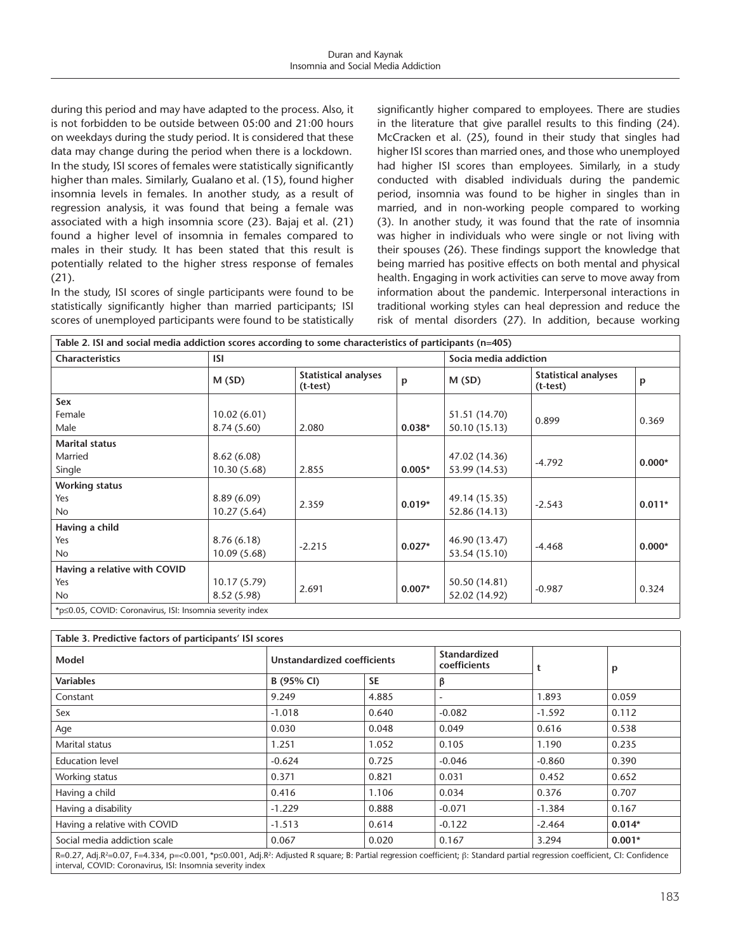during this period and may have adapted to the process. Also, it is not forbidden to be outside between 05:00 and 21:00 hours on weekdays during the study period. It is considered that these data may change during the period when there is a lockdown. In the study, ISI scores of females were statistically significantly higher than males. Similarly, Gualano et al. (15), found higher insomnia levels in females. In another study, as a result of regression analysis, it was found that being a female was associated with a high insomnia score (23). Bajaj et al. (21) found a higher level of insomnia in females compared to males in their study. It has been stated that this result is potentially related to the higher stress response of females (21).

In the study, ISI scores of single participants were found to be statistically significantly higher than married participants; ISI scores of unemployed participants were found to be statistically significantly higher compared to employees. There are studies in the literature that give parallel results to this finding (24). McCracken et al. (25), found in their study that singles had higher ISI scores than married ones, and those who unemployed had higher ISI scores than employees. Similarly, in a study conducted with disabled individuals during the pandemic period, insomnia was found to be higher in singles than in married, and in non-working people compared to working (3). In another study, it was found that the rate of insomnia was higher in individuals who were single or not living with their spouses (26). These findings support the knowledge that being married has positive effects on both mental and physical health. Engaging in work activities can serve to move away from information about the pandemic. Interpersonal interactions in traditional working styles can heal depression and reduce the risk of mental disorders (27). In addition, because working

| Table 2. ISI and social media addiction scores according to some characteristics of participants (n=405) |              |                                           |                      |                       |                                           |          |  |
|----------------------------------------------------------------------------------------------------------|--------------|-------------------------------------------|----------------------|-----------------------|-------------------------------------------|----------|--|
| <b>Characteristics</b>                                                                                   | ISI.         |                                           |                      | Socia media addiction |                                           |          |  |
|                                                                                                          | M(SD)        | <b>Statistical analyses</b><br>$(t-test)$ | p                    | M(SD)                 | <b>Statistical analyses</b><br>$(t-test)$ | p        |  |
| Sex                                                                                                      |              |                                           |                      |                       |                                           |          |  |
| Female                                                                                                   | 10.02(6.01)  |                                           |                      | 51.51 (14.70)         | 0.899                                     | 0.369    |  |
| Male                                                                                                     | 8.74(5.60)   | 2.080                                     | $0.038*$             | 50.10 (15.13)         |                                           |          |  |
| <b>Marital status</b>                                                                                    |              |                                           |                      |                       |                                           |          |  |
| Married                                                                                                  | 8.62(6.08)   |                                           |                      | 47.02 (14.36)         |                                           |          |  |
| Single                                                                                                   | 10.30 (5.68) | 2.855                                     | $0.005*$             | 53.99 (14.53)         | $-4.792$                                  | $0.000*$ |  |
| <b>Working status</b>                                                                                    |              |                                           |                      |                       |                                           |          |  |
| Yes                                                                                                      | 8.89(6.09)   |                                           |                      | 49.14 (15.35)         |                                           |          |  |
| No                                                                                                       | 10.27(5.64)  |                                           | $0.019*$             | 52.86 (14.13)         | $-2.543$                                  | $0.011*$ |  |
| Having a child                                                                                           |              |                                           |                      |                       |                                           |          |  |
| Yes                                                                                                      | 8.76(6.18)   | 2.359                                     |                      | 46.90 (13.47)         |                                           |          |  |
| <b>No</b>                                                                                                | 10.09(5.68)  |                                           | $-2.215$<br>$0.027*$ | 53.54 (15.10)         | $-4.468$                                  | $0.000*$ |  |
| Having a relative with COVID                                                                             |              |                                           |                      |                       |                                           |          |  |
| Yes                                                                                                      | 10.17(5.79)  |                                           | $0.007*$             | 50.50 (14.81)         | $-0.987$                                  | 0.324    |  |
| No                                                                                                       | 8.52(5.98)   | 2.691                                     |                      | 52.02 (14.92)         |                                           |          |  |
| *p<0.05, COVID: Coronavirus, ISI: Insomnia severity index                                                |              |                                           |                      |                       |                                           |          |  |

| Table 3. Predictive factors of participants' ISI scores |                             |          |                              |          |  |  |  |
|---------------------------------------------------------|-----------------------------|----------|------------------------------|----------|--|--|--|
|                                                         | Unstandardized coefficients |          | t                            | p        |  |  |  |
| B (95% CI)                                              | <b>SE</b>                   | β        |                              |          |  |  |  |
| 9.249                                                   | 4.885                       | ۰        | 1.893                        | 0.059    |  |  |  |
| $-1.018$                                                | 0.640                       | $-0.082$ | $-1.592$                     | 0.112    |  |  |  |
| 0.030                                                   | 0.048                       | 0.049    | 0.616                        | 0.538    |  |  |  |
| 1.251                                                   | 1.052                       | 0.105    | 1.190                        | 0.235    |  |  |  |
| $-0.624$                                                | 0.725                       | $-0.046$ | $-0.860$                     | 0.390    |  |  |  |
| 0.371                                                   | 0.821                       | 0.031    | 0.452                        | 0.652    |  |  |  |
| 0.416                                                   | 1.106                       | 0.034    | 0.376                        | 0.707    |  |  |  |
| $-1.229$                                                | 0.888                       | $-0.071$ | $-1.384$                     | 0.167    |  |  |  |
| $-1.513$                                                | 0.614                       | $-0.122$ | $-2.464$                     | $0.014*$ |  |  |  |
| 0.067                                                   | 0.020                       | 0.167    | 3.294                        | $0.001*$ |  |  |  |
|                                                         |                             |          | Standardized<br>coefficients |          |  |  |  |

R=0.27, Adj.R2 =0.07, F=4.334, p=<0.001, \*p≤0.001, Adj.R?: Adjusted R square; B: Partial regression coefficient; β: Standard partial regression coefficient, CI: Confidence interval, COVID: Coronavirus, ISI: Insomnia severity index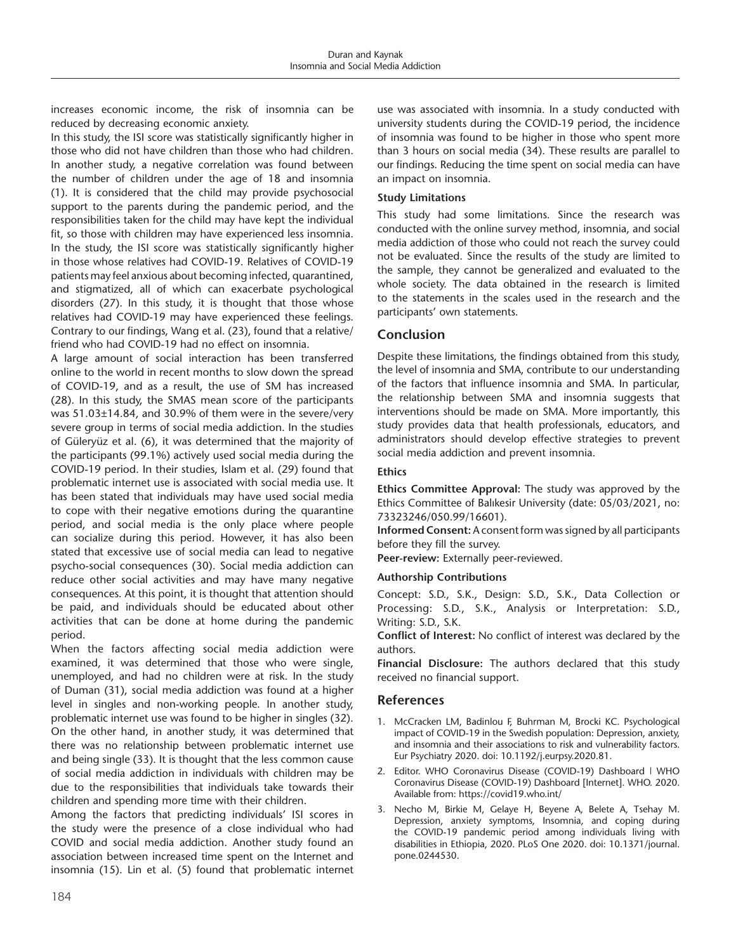increases economic income, the risk of insomnia can be reduced by decreasing economic anxiety.

In this study, the ISI score was statistically significantly higher in those who did not have children than those who had children. In another study, a negative correlation was found between the number of children under the age of 18 and insomnia (1). It is considered that the child may provide psychosocial support to the parents during the pandemic period, and the responsibilities taken for the child may have kept the individual fit, so those with children may have experienced less insomnia. In the study, the ISI score was statistically significantly higher in those whose relatives had COVID-19. Relatives of COVID-19 patients may feel anxious about becoming infected, quarantined, and stigmatized, all of which can exacerbate psychological disorders (27). In this study, it is thought that those whose relatives had COVID-19 may have experienced these feelings. Contrary to our findings, Wang et al. (23), found that a relative/ friend who had COVID-19 had no effect on insomnia.

A large amount of social interaction has been transferred online to the world in recent months to slow down the spread of COVID-19, and as a result, the use of SM has increased (28). In this study, the SMAS mean score of the participants was 51.03±14.84, and 30.9% of them were in the severe/very severe group in terms of social media addiction. In the studies of Güleryüz et al. (6), it was determined that the majority of the participants (99.1%) actively used social media during the COVID-19 period. In their studies, Islam et al. (29) found that problematic internet use is associated with social media use. It has been stated that individuals may have used social media to cope with their negative emotions during the quarantine period, and social media is the only place where people can socialize during this period. However, it has also been stated that excessive use of social media can lead to negative psycho-social consequences (30). Social media addiction can reduce other social activities and may have many negative consequences. At this point, it is thought that attention should be paid, and individuals should be educated about other activities that can be done at home during the pandemic period.

When the factors affecting social media addiction were examined, it was determined that those who were single, unemployed, and had no children were at risk. In the study of Duman (31), social media addiction was found at a higher level in singles and non-working people. In another study, problematic internet use was found to be higher in singles (32). On the other hand, in another study, it was determined that there was no relationship between problematic internet use and being single (33). It is thought that the less common cause of social media addiction in individuals with children may be due to the responsibilities that individuals take towards their children and spending more time with their children.

Among the factors that predicting individuals' ISI scores in the study were the presence of a close individual who had COVID and social media addiction. Another study found an association between increased time spent on the Internet and insomnia (15). Lin et al. (5) found that problematic internet use was associated with insomnia. In a study conducted with university students during the COVID-19 period, the incidence of insomnia was found to be higher in those who spent more than 3 hours on social media (34). These results are parallel to our findings. Reducing the time spent on social media can have an impact on insomnia.

## **Study Limitations**

This study had some limitations. Since the research was conducted with the online survey method, insomnia, and social media addiction of those who could not reach the survey could not be evaluated. Since the results of the study are limited to the sample, they cannot be generalized and evaluated to the whole society. The data obtained in the research is limited to the statements in the scales used in the research and the participants' own statements.

## **Conclusion**

Despite these limitations, the findings obtained from this study, the level of insomnia and SMA, contribute to our understanding of the factors that influence insomnia and SMA. In particular, the relationship between SMA and insomnia suggests that interventions should be made on SMA. More importantly, this study provides data that health professionals, educators, and administrators should develop effective strategies to prevent social media addiction and prevent insomnia.

#### **Ethics**

**Ethics Committee Approval:** The study was approved by the Ethics Committee of Balıkesir University (date: 05/03/2021, no: 73323246/050.99/16601).

**Informed Consent:** A consent form was signed by all participants before they fill the survey.

**Peer-review:** Externally peer-reviewed.

#### **Authorship Contributions**

Concept: S.D., S.K., Design: S.D., S.K., Data Collection or Processing: S.D., S.K., Analysis or Interpretation: S.D., Writing: S.D., S.K.

**Conflict of Interest:** No conflict of interest was declared by the authors.

**Financial Disclosure:** The authors declared that this study received no financial support.

## **References**

- 1. McCracken LM, Badinlou F, Buhrman M, Brocki KC. Psychological impact of COVID-19 in the Swedish population: Depression, anxiety, and insomnia and their associations to risk and vulnerability factors. Eur Psychiatry 2020. doi: 10.1192/j.eurpsy.2020.81.
- 2. Editor. WHO Coronavirus Disease (COVID-19) Dashboard | WHO Coronavirus Disease (COVID-19) Dashboard [Internet]. WHO. 2020. Available from: https://covid19.who.int/
- 3. Necho M, Birkie M, Gelaye H, Beyene A, Belete A, Tsehay M. Depression, anxiety symptoms, Insomnia, and coping during the COVID-19 pandemic period among individuals living with disabilities in Ethiopia, 2020. PLoS One 2020. doi: 10.1371/journal. pone.0244530.